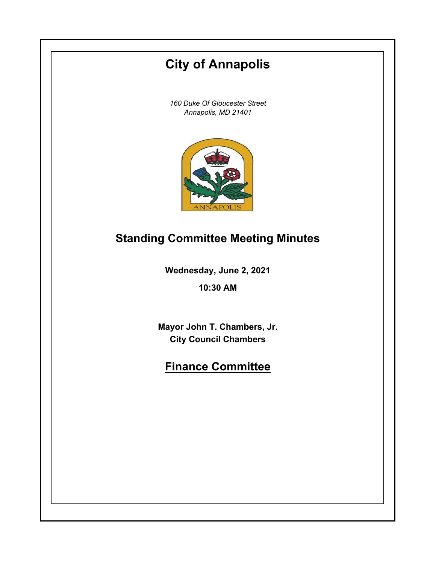# **City of Annapolis**

*160 Duke Of Gloucester Street Annapolis, MD 21401*



# **Standing Committee Meeting Minutes**

**Wednesday, June 2, 2021**

**10:30 AM**

**Mayor John T. Chambers, Jr. City Council Chambers**

# **Finance Committee**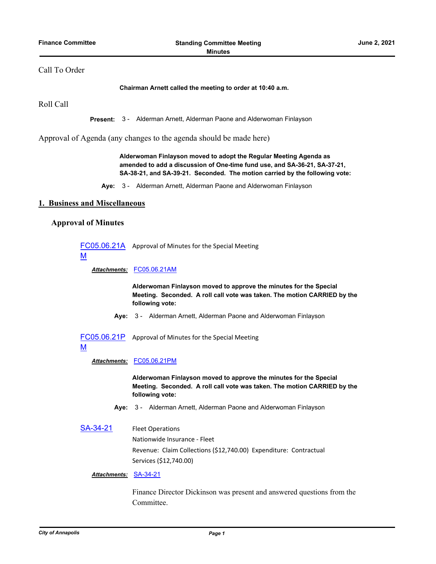# Call To Order

#### **Chairman Arnett called the meeting to order at 10:40 a.m.**

Roll Call

**Present:** 3 - Alderman Arnett, Alderman Paone and Alderwoman Finlayson

Approval of Agenda (any changes to the agenda should be made here)

**Alderwoman Finlayson moved to adopt the Regular Meeting Agenda as amended to add a discussion of One-time fund use, and SA-36-21, SA-37-21, SA-38-21, and SA-39-21. Seconded. The motion carried by the following vote:**

**Aye:** 3 - Alderman Arnett, Alderman Paone and Alderwoman Finlayson

### **1. Business and Miscellaneous**

# **Approval of Minutes**

[FC05.06.21A](http://annapolismd.legistar.com/gateway.aspx?m=l&id=/matter.aspx?key=5311) Approval of Minutes for the Special Meeting

M

*Attachments:* [FC05.06.21AM](http://annapolismd.legistar.com/gateway.aspx?M=F&ID=b9307048-3602-495c-a619-c3990716df9b.pdf)

**Alderwoman Finlayson moved to approve the minutes for the Special Meeting. Seconded. A roll call vote was taken. The motion CARRIED by the following vote:**

**Aye:** 3 - Alderman Arnett, Alderman Paone and Alderwoman Finlayson

[FC05.06.21P](http://annapolismd.legistar.com/gateway.aspx?m=l&id=/matter.aspx?key=5312) Approval of Minutes for the Special Meeting

#### M

### *Attachments:* [FC05.06.21PM](http://annapolismd.legistar.com/gateway.aspx?M=F&ID=3fbcc7c5-6e44-4ecb-8afd-a0baff1908b9.pdf)

**Alderwoman Finlayson moved to approve the minutes for the Special Meeting. Seconded. A roll call vote was taken. The motion CARRIED by the following vote:**

- **Aye:** 3 Alderman Arnett, Alderman Paone and Alderwoman Finlayson
- [SA-34-21](http://annapolismd.legistar.com/gateway.aspx?m=l&id=/matter.aspx?key=5308) Fleet Operations Nationwide Insurance - Fleet Revenue: Claim Collections (\$12,740.00) Expenditure: Contractual Services (\$12,740.00)

## *Attachments:* [SA-34-21](http://annapolismd.legistar.com/gateway.aspx?M=F&ID=ab100cab-f1c2-4810-860a-f0be9228bc0e.pdf)

Finance Director Dickinson was present and answered questions from the Committee.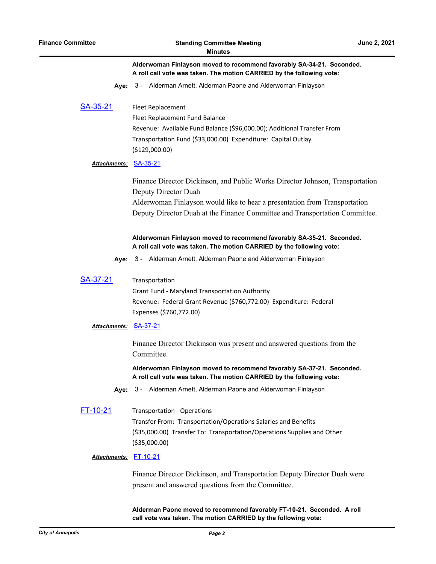**Alderwoman Finlayson moved to recommend favorably SA-34-21. Seconded. A roll call vote was taken. The motion CARRIED by the following vote:**

- **Aye:** 3 Alderman Arnett, Alderman Paone and Alderwoman Finlayson
- [SA-35-21](http://annapolismd.legistar.com/gateway.aspx?m=l&id=/matter.aspx?key=5309) Fleet Replacement

Fleet Replacement Fund Balance

Revenue: Available Fund Balance (\$96,000.00); Additional Transfer From Transportation Fund (\$33,000.00) Expenditure: Capital Outlay (\$129,000.00)

#### *Attachments:* [SA-35-21](http://annapolismd.legistar.com/gateway.aspx?M=F&ID=3c429bc2-54ea-4d4f-b98b-e0c46956a83a.pdf)

Finance Director Dickinson, and Public Works Director Johnson, Transportation Deputy Director Duah

Alderwoman Finlayson would like to hear a presentation from Transportation Deputy Director Duah at the Finance Committee and Transportation Committee.

#### **Alderwoman Finlayson moved to recommend favorably SA-35-21. Seconded. A roll call vote was taken. The motion CARRIED by the following vote:**

- **Aye:** 3 Alderman Arnett, Alderman Paone and Alderwoman Finlayson
- [SA-37-21](http://annapolismd.legistar.com/gateway.aspx?m=l&id=/matter.aspx?key=5314) Transportation

Grant Fund - Maryland Transportation Authority Revenue: Federal Grant Revenue (\$760,772.00) Expenditure: Federal Expenses (\$760,772.00)

#### *Attachments:* [SA-37-21](http://annapolismd.legistar.com/gateway.aspx?M=F&ID=1dfefc31-d8bc-43e4-b636-be4fdfa84fe5.pdf)

Finance Director Dickinson was present and answered questions from the Committee.

**Alderwoman Finlayson moved to recommend favorably SA-37-21. Seconded. A roll call vote was taken. The motion CARRIED by the following vote:**

- **Aye:** 3 Alderman Arnett, Alderman Paone and Alderwoman Finlayson
- [FT-10-21](http://annapolismd.legistar.com/gateway.aspx?m=l&id=/matter.aspx?key=5310) Transportation Operations Transfer From: Transportation/Operations Salaries and Benefits (\$35,000.00) Transfer To: Transportation/Operations Supplies and Other (\$35,000.00)

#### *Attachments:* [FT-10-21](http://annapolismd.legistar.com/gateway.aspx?M=F&ID=7d959c4f-1e1c-470c-8040-ade66e251441.pdf)

Finance Director Dickinson, and Transportation Deputy Director Duah were present and answered questions from the Committee.

**Alderman Paone moved to recommend favorably FT-10-21. Seconded. A roll call vote was taken. The motion CARRIED by the following vote:**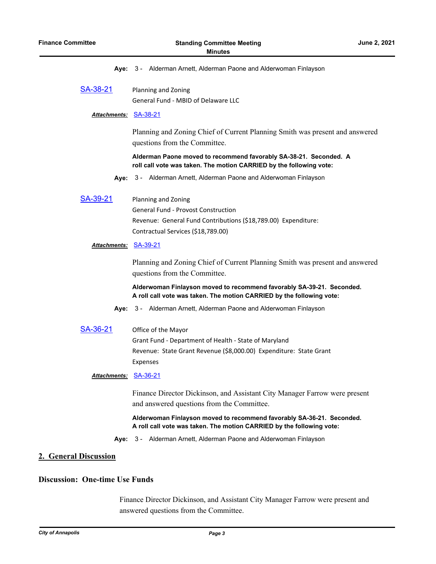|  |  |  |  |  |  |  | Aye: 3 - Alderman Arnett, Alderman Paone and Alderwoman Finlayson |  |
|--|--|--|--|--|--|--|-------------------------------------------------------------------|--|
|--|--|--|--|--|--|--|-------------------------------------------------------------------|--|

[SA-38-21](http://annapolismd.legistar.com/gateway.aspx?m=l&id=/matter.aspx?key=5315) Planning and Zoning General Fund - MBID of Delaware LLC

#### *Attachments:* [SA-38-21](http://annapolismd.legistar.com/gateway.aspx?M=F&ID=0ea439cc-e833-4dd7-8f9d-bfa39e780c7f.pdf)

Planning and Zoning Chief of Current Planning Smith was present and answered questions from the Committee.

**Alderman Paone moved to recommend favorably SA-38-21. Seconded. A roll call vote was taken. The motion CARRIED by the following vote:**

- **Aye:** 3 Alderman Arnett, Alderman Paone and Alderwoman Finlayson
- [SA-39-21](http://annapolismd.legistar.com/gateway.aspx?m=l&id=/matter.aspx?key=5316) Planning and Zoning General Fund - Provost Construction Revenue: General Fund Contributions (\$18,789.00) Expenditure: Contractual Services (\$18,789.00)

### *Attachments:* [SA-39-21](http://annapolismd.legistar.com/gateway.aspx?M=F&ID=c41f755a-5029-4f59-b904-55341b21e2b0.pdf)

Planning and Zoning Chief of Current Planning Smith was present and answered questions from the Committee.

**Alderwoman Finlayson moved to recommend favorably SA-39-21. Seconded. A roll call vote was taken. The motion CARRIED by the following vote:**

- **Aye:** 3 Alderman Arnett, Alderman Paone and Alderwoman Finlayson
- [SA-36-21](http://annapolismd.legistar.com/gateway.aspx?m=l&id=/matter.aspx?key=5313) Office of the Mayor Grant Fund - Department of Health - State of Maryland Revenue: State Grant Revenue (\$8,000.00) Expenditure: State Grant Expenses

#### *Attachments:* [SA-36-21](http://annapolismd.legistar.com/gateway.aspx?M=F&ID=85d76772-fb20-4cf1-91d0-08cbe0858a1c.pdf)

Finance Director Dickinson, and Assistant City Manager Farrow were present and answered questions from the Committee.

**Alderwoman Finlayson moved to recommend favorably SA-36-21. Seconded. A roll call vote was taken. The motion CARRIED by the following vote:**

**Aye:** 3 - Alderman Arnett, Alderman Paone and Alderwoman Finlayson

# **2. General Discussion**

# **Discussion: One-time Use Funds**

Finance Director Dickinson, and Assistant City Manager Farrow were present and answered questions from the Committee.